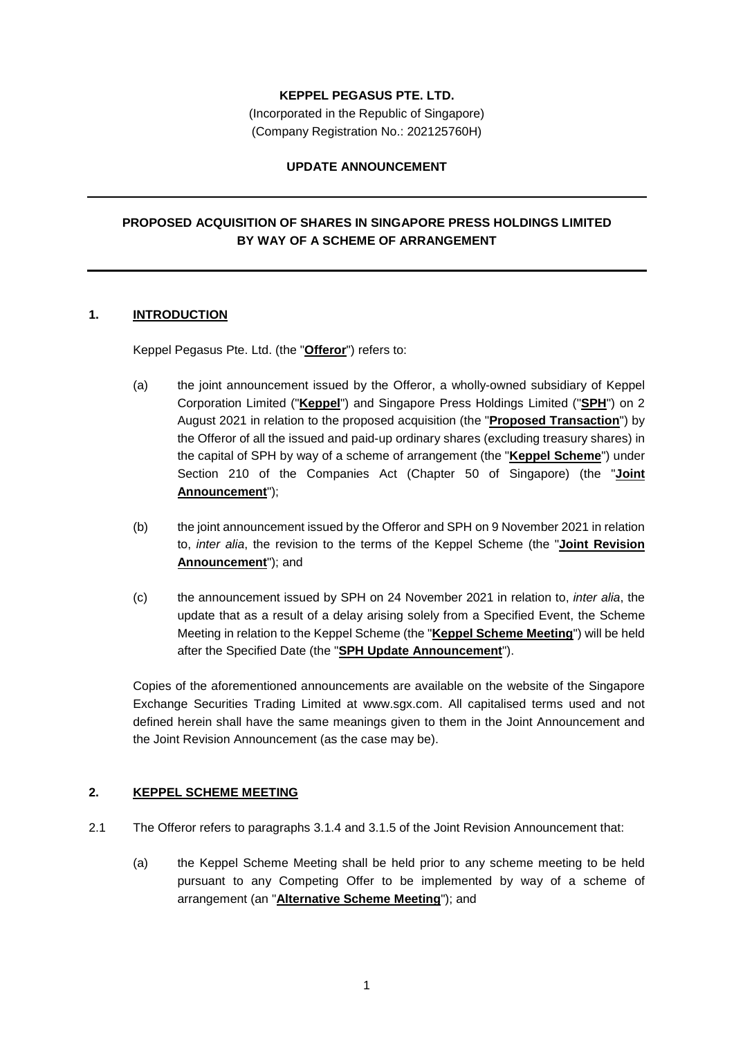## **KEPPEL PEGASUS PTE. LTD.**

(Incorporated in the Republic of Singapore) (Company Registration No.: 202125760H)

### **UPDATE ANNOUNCEMENT**

# **PROPOSED ACQUISITION OF SHARES IN SINGAPORE PRESS HOLDINGS LIMITED BY WAY OF A SCHEME OF ARRANGEMENT**

## **1. INTRODUCTION**

Keppel Pegasus Pte. Ltd. (the "**Offeror**") refers to:

- (a) the joint announcement issued by the Offeror, a wholly-owned subsidiary of Keppel Corporation Limited ("**Keppel**") and Singapore Press Holdings Limited ("**SPH**") on 2 August 2021 in relation to the proposed acquisition (the "**Proposed Transaction**") by the Offeror of all the issued and paid-up ordinary shares (excluding treasury shares) in the capital of SPH by way of a scheme of arrangement (the "**Keppel Scheme**") under Section 210 of the Companies Act (Chapter 50 of Singapore) (the "**Joint Announcement**");
- (b) the joint announcement issued by the Offeror and SPH on 9 November 2021 in relation to, *inter alia*, the revision to the terms of the Keppel Scheme (the "**Joint Revision Announcement**"); and
- (c) the announcement issued by SPH on 24 November 2021 in relation to, *inter alia*, the update that as a result of a delay arising solely from a Specified Event, the Scheme Meeting in relation to the Keppel Scheme (the "**Keppel Scheme Meeting**") will be held after the Specified Date (the "**SPH Update Announcement**").

Copies of the aforementioned announcements are available on the website of the Singapore Exchange Securities Trading Limited at www.sgx.com. All capitalised terms used and not defined herein shall have the same meanings given to them in the Joint Announcement and the Joint Revision Announcement (as the case may be).

# **2. KEPPEL SCHEME MEETING**

- 2.1 The Offeror refers to paragraphs 3.1.4 and 3.1.5 of the Joint Revision Announcement that:
	- (a) the Keppel Scheme Meeting shall be held prior to any scheme meeting to be held pursuant to any Competing Offer to be implemented by way of a scheme of arrangement (an "**Alternative Scheme Meeting**"); and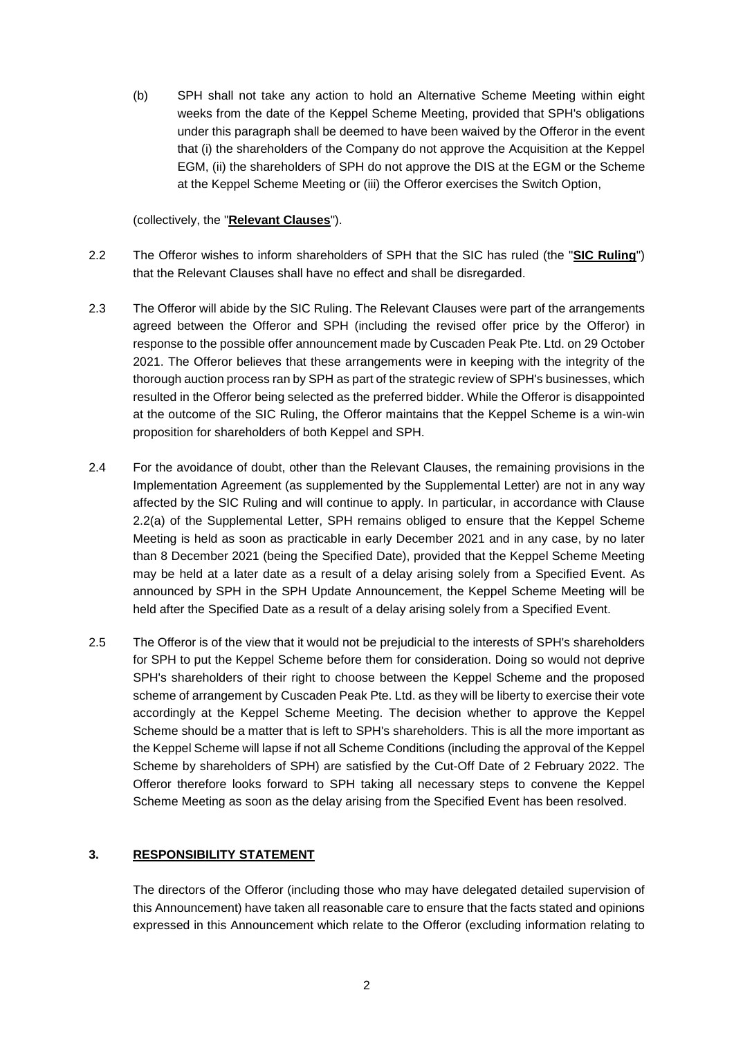(b) SPH shall not take any action to hold an Alternative Scheme Meeting within eight weeks from the date of the Keppel Scheme Meeting, provided that SPH's obligations under this paragraph shall be deemed to have been waived by the Offeror in the event that (i) the shareholders of the Company do not approve the Acquisition at the Keppel EGM, (ii) the shareholders of SPH do not approve the DIS at the EGM or the Scheme at the Keppel Scheme Meeting or (iii) the Offeror exercises the Switch Option,

#### (collectively, the "**Relevant Clauses**").

- 2.2 The Offeror wishes to inform shareholders of SPH that the SIC has ruled (the "**SIC Ruling**") that the Relevant Clauses shall have no effect and shall be disregarded.
- 2.3 The Offeror will abide by the SIC Ruling. The Relevant Clauses were part of the arrangements agreed between the Offeror and SPH (including the revised offer price by the Offeror) in response to the possible offer announcement made by Cuscaden Peak Pte. Ltd. on 29 October 2021. The Offeror believes that these arrangements were in keeping with the integrity of the thorough auction process ran by SPH as part of the strategic review of SPH's businesses, which resulted in the Offeror being selected as the preferred bidder. While the Offeror is disappointed at the outcome of the SIC Ruling, the Offeror maintains that the Keppel Scheme is a win-win proposition for shareholders of both Keppel and SPH.
- 2.4 For the avoidance of doubt, other than the Relevant Clauses, the remaining provisions in the Implementation Agreement (as supplemented by the Supplemental Letter) are not in any way affected by the SIC Ruling and will continue to apply. In particular, in accordance with Clause 2.2(a) of the Supplemental Letter, SPH remains obliged to ensure that the Keppel Scheme Meeting is held as soon as practicable in early December 2021 and in any case, by no later than 8 December 2021 (being the Specified Date), provided that the Keppel Scheme Meeting may be held at a later date as a result of a delay arising solely from a Specified Event. As announced by SPH in the SPH Update Announcement, the Keppel Scheme Meeting will be held after the Specified Date as a result of a delay arising solely from a Specified Event.
- 2.5 The Offeror is of the view that it would not be prejudicial to the interests of SPH's shareholders for SPH to put the Keppel Scheme before them for consideration. Doing so would not deprive SPH's shareholders of their right to choose between the Keppel Scheme and the proposed scheme of arrangement by Cuscaden Peak Pte. Ltd. as they will be liberty to exercise their vote accordingly at the Keppel Scheme Meeting. The decision whether to approve the Keppel Scheme should be a matter that is left to SPH's shareholders. This is all the more important as the Keppel Scheme will lapse if not all Scheme Conditions (including the approval of the Keppel Scheme by shareholders of SPH) are satisfied by the Cut-Off Date of 2 February 2022. The Offeror therefore looks forward to SPH taking all necessary steps to convene the Keppel Scheme Meeting as soon as the delay arising from the Specified Event has been resolved.

### **3. RESPONSIBILITY STATEMENT**

The directors of the Offeror (including those who may have delegated detailed supervision of this Announcement) have taken all reasonable care to ensure that the facts stated and opinions expressed in this Announcement which relate to the Offeror (excluding information relating to